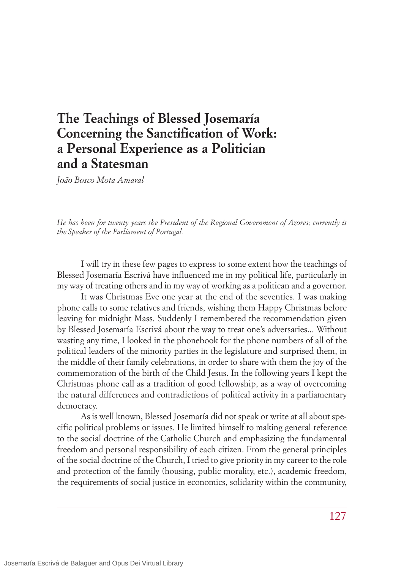## **The Teachings of Blessed Josemaría Concerning the Sanctification of Work: a Personal Experience as a Politician and a Statesman**

*João Bosco Mota Amaral*

*He has been for twenty years the President of the Regional Government of Azores; currently is the Speaker of the Parliament of Portugal.*

I will try in these few pages to express to some extent how the teachings of Blessed Josemaría Escrivá have influenced me in my political life, particularly in my way of treating others and in my way of working as a politican and a governor.

It was Christmas Eve one year at the end of the seventies. I was making phone calls to some relatives and friends, wishing them Happy Christmas before leaving for midnight Mass. Suddenly I remembered the recommendation given by Blessed Josemaría Escrivá about the way to treat one's adversaries... Without wasting any time, I looked in the phonebook for the phone numbers of all of the political leaders of the minority parties in the legislature and surprised them, in the middle of their family celebrations, in order to share with them the joy of the commemoration of the birth of the Child Jesus. In the following years I kept the Christmas phone call as a tradition of good fellowship, as a way of overcoming the natural differences and contradictions of political activity in a parliamentary democracy.

As is well known, Blessed Josemaría did not speak or write at all about specific political problems or issues. He limited himself to making general reference to the social doctrine of the Catholic Church and emphasizing the fundamental freedom and personal responsibility of each citizen. From the general principles of the social doctrine of the Church, I tried to give priority in my career to the role and protection of the family (housing, public morality, etc.), academic freedom, the requirements of social justice in economics, solidarity within the community,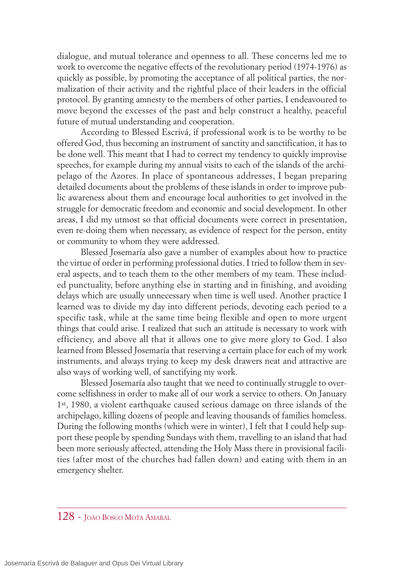dialogue, and mutual tolerance and openness to all. These concerns led me to work to overcome the negative effects of the revolutionary period (1974-1976) as quickly as possible, by promoting the acceptance of all political parties, the normalization of their activity and the rightful place of their leaders in the official protocol. By granting amnesty to the members of other parties, I endeavoured to move beyond the excesses of the past and help construct a healthy, peaceful future of mutual understanding and cooperation.

According to Blessed Escrivá, if professional work is to be worthy to be offered God, thus becoming an instrument of sanctity and sanctification, it has to be done well. This meant that I had to correct my tendency to quickly improvise speeches, for example during my annual visits to each of the islands of the archipelago of the Azores. In place of spontaneous addresses, I began preparing detailed documents about the problems of these islands in order to improve public awareness about them and encourage local authorities to get involved in the struggle for democratic freedom and economic and social development. In other areas, I did my utmost so that official documents were correct in presentation, even re-doing them when necessary, as evidence of respect for the person, entity or community to whom they were addressed.

Blessed Josemaría also gave a number of examples about how to practice the virtue of order in performing professional duties. I tried to follow them in several aspects, and to teach them to the other members of my team. These included punctuality, before anything else in starting and in finishing, and avoiding delays which are usually unnecessary when time is well used. Another practice I learned was to divide my day into different periods, devoting each period to a specific task, while at the same time being flexible and open to more urgent things that could arise. I realized that such an attitude is necessary to work with efficiency, and above all that it allows one to give more glory to God. I also learned from Blessed Josemaría that reserving a certain place for each of my work instruments, and always trying to keep my desk drawers neat and attractive are also ways of working well, of sanctifying my work.

Blessed Josemaría also taught that we need to continually struggle to overcome selfishness in order to make all of our work a service to others. On January 1st, 1980, a violent earthquake caused serious damage on three islands of the archipelago, killing dozens of people and leaving thousands of families homeless. During the following months (which were in winter), I felt that I could help support these people by spending Sundays with them, travelling to an island that had been more seriously affected, attending the Holy Mass there in provisional facilities (after most of the churches had fallen down) and eating with them in an emergency shelter.

## 128 - JOÃO BOSCO MOTA AMARAL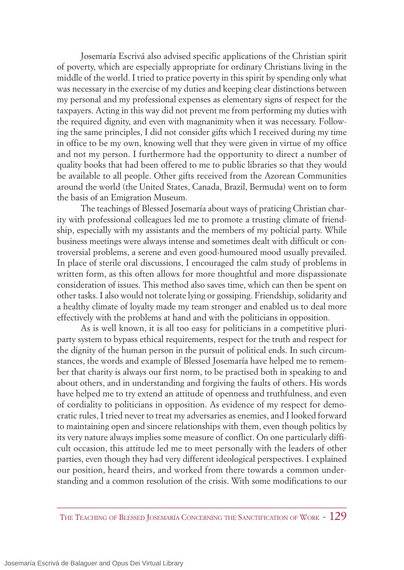Josemaría Escrivá also advised specific applications of the Christian spirit of poverty, which are especially appropriate for ordinary Christians living in the middle of the world. I tried to pratice poverty in this spirit by spending only what was necessary in the exercise of my duties and keeping clear distinctions between my personal and my professional expenses as elementary signs of respect for the taxpayers. Acting in this way did not prevent me from performing my duties with the required dignity, and even with magnanimity when it was necessary. Following the same principles, I did not consider gifts which I received during my time in office to be my own, knowing well that they were given in virtue of my office and not my person. I furthermore had the opportunity to direct a number of quality books that had been offered to me to public libraries so that they would be available to all people. Other gifts received from the Azorean Communities around the world (the United States, Canada, Brazil, Bermuda) went on to form the basis of an Emigration Museum.

The teachings of Blessed Josemaría about ways of praticing Christian charity with professional colleagues led me to promote a trusting climate of friendship, especially with my assistants and the members of my polticial party. While business meetings were always intense and sometimes dealt with difficult or controversial problems, a serene and even good-humoured mood usually prevailed. In place of sterile oral discussions, I encouraged the calm study of problems in written form, as this often allows for more thoughtful and more dispassionate consideration of issues. This method also saves time, which can then be spent on other tasks. I also would not tolerate lying or gossiping. Friendship, solidarity and a healthy climate of loyalty made my team stronger and enabled us to deal more effectively with the problems at hand and with the politicians in opposition.

As is well known, it is all too easy for politicians in a competitive pluriparty system to bypass ethical requirements, respect for the truth and respect for the dignity of the human person in the pursuit of political ends. In such circumstances, the words and example of Blessed Josemaría have helped me to remember that charity is always our first norm, to be practised both in speaking to and about others, and in understanding and forgiving the faults of others. His words have helped me to try extend an attitude of openness and truthfulness, and even of cordiality to politicians in opposition. As evidence of my respect for democratic rules, I tried never to treat my adversaries as enemies, and I looked forward to maintaining open and sincere relationships with them, even though politics by its very nature always implies some measure of conflict. On one particularly difficult occasion, this attitude led me to meet personally with the leaders of other parties, even though they had very different ideological perspectives. I explained our position, heard theirs, and worked from there towards a common understanding and a common resolution of the crisis. With some modifications to our

THE TEACHING OF BLESSED JOSEMARÍA CONCERNING THE SANCTIFICATION OF WORK - 129